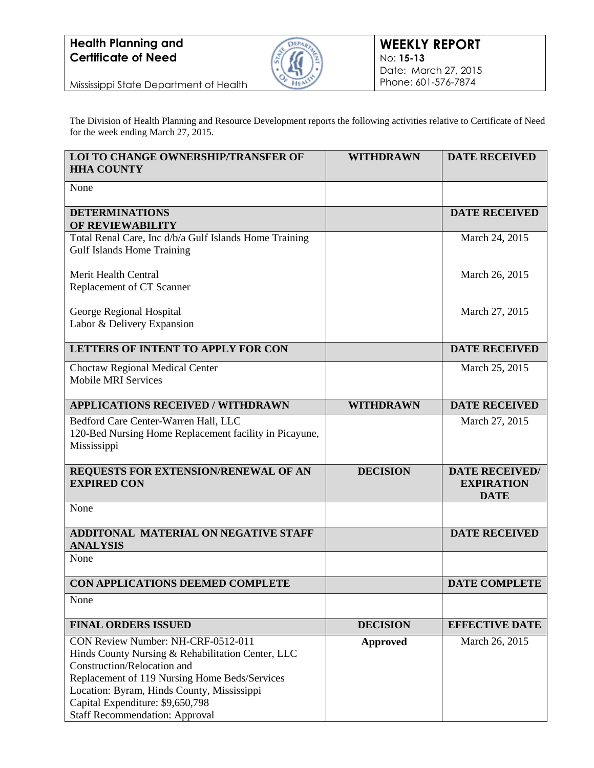

Mississippi State Department of Health

The Division of Health Planning and Resource Development reports the following activities relative to Certificate of Need for the week ending March 27, 2015.

| <b>LOI TO CHANGE OWNERSHIP/TRANSFER OF</b><br><b>HHA COUNTY</b>                                                                                                                                                                                                                                    | <b>WITHDRAWN</b> | <b>DATE RECEIVED</b>                                      |
|----------------------------------------------------------------------------------------------------------------------------------------------------------------------------------------------------------------------------------------------------------------------------------------------------|------------------|-----------------------------------------------------------|
| None                                                                                                                                                                                                                                                                                               |                  |                                                           |
| <b>DETERMINATIONS</b><br>OF REVIEWABILITY                                                                                                                                                                                                                                                          |                  | <b>DATE RECEIVED</b>                                      |
| Total Renal Care, Inc d/b/a Gulf Islands Home Training<br><b>Gulf Islands Home Training</b>                                                                                                                                                                                                        |                  | March 24, 2015                                            |
| Merit Health Central<br>Replacement of CT Scanner                                                                                                                                                                                                                                                  |                  | March 26, 2015                                            |
| George Regional Hospital                                                                                                                                                                                                                                                                           |                  | March 27, 2015                                            |
| Labor & Delivery Expansion                                                                                                                                                                                                                                                                         |                  |                                                           |
| <b>LETTERS OF INTENT TO APPLY FOR CON</b>                                                                                                                                                                                                                                                          |                  | <b>DATE RECEIVED</b>                                      |
| Choctaw Regional Medical Center<br><b>Mobile MRI Services</b>                                                                                                                                                                                                                                      |                  | March 25, 2015                                            |
| <b>APPLICATIONS RECEIVED / WITHDRAWN</b>                                                                                                                                                                                                                                                           | <b>WITHDRAWN</b> | <b>DATE RECEIVED</b>                                      |
| Bedford Care Center-Warren Hall, LLC<br>120-Bed Nursing Home Replacement facility in Picayune,<br>Mississippi                                                                                                                                                                                      |                  | March 27, 2015                                            |
| REQUESTS FOR EXTENSION/RENEWAL OF AN<br><b>EXPIRED CON</b>                                                                                                                                                                                                                                         | <b>DECISION</b>  | <b>DATE RECEIVED/</b><br><b>EXPIRATION</b><br><b>DATE</b> |
| None                                                                                                                                                                                                                                                                                               |                  |                                                           |
| <b>ADDITONAL MATERIAL ON NEGATIVE STAFF</b><br><b>ANALYSIS</b>                                                                                                                                                                                                                                     |                  | <b>DATE RECEIVED</b>                                      |
| None                                                                                                                                                                                                                                                                                               |                  |                                                           |
| CON APPLICATIONS DEEMED COMPLETE                                                                                                                                                                                                                                                                   |                  | <b>DATE COMPLETE</b>                                      |
| None                                                                                                                                                                                                                                                                                               |                  |                                                           |
| <b>FINAL ORDERS ISSUED</b>                                                                                                                                                                                                                                                                         | <b>DECISION</b>  | <b>EFFECTIVE DATE</b>                                     |
| CON Review Number: NH-CRF-0512-011<br>Hinds County Nursing & Rehabilitation Center, LLC<br>Construction/Relocation and<br>Replacement of 119 Nursing Home Beds/Services<br>Location: Byram, Hinds County, Mississippi<br>Capital Expenditure: \$9,650,798<br><b>Staff Recommendation: Approval</b> | <b>Approved</b>  | March 26, 2015                                            |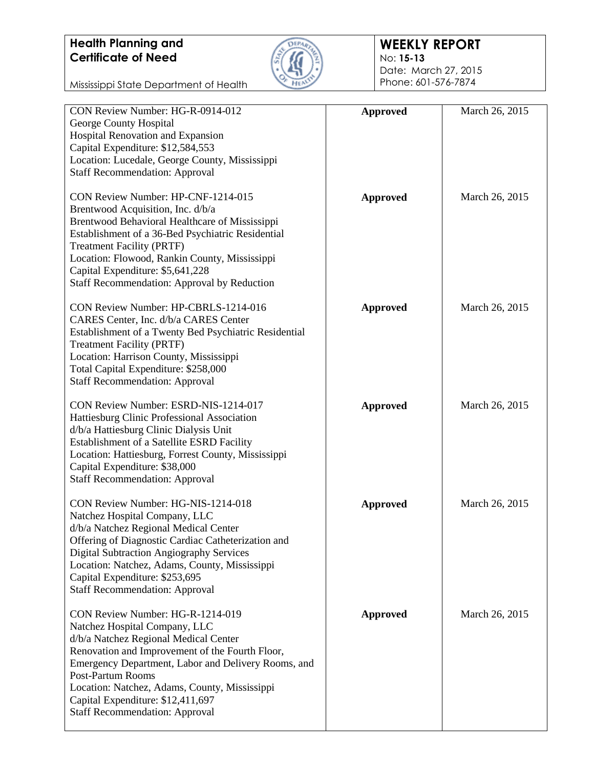

#### **WEEKLY REPORT** No: **15-13**

Date: March 27, 2015 Phone: 601-576-7874

| CON Review Number: HG-R-0914-012                      | <b>Approved</b> | March 26, 2015 |
|-------------------------------------------------------|-----------------|----------------|
| George County Hospital                                |                 |                |
| Hospital Renovation and Expansion                     |                 |                |
| Capital Expenditure: \$12,584,553                     |                 |                |
| Location: Lucedale, George County, Mississippi        |                 |                |
|                                                       |                 |                |
| <b>Staff Recommendation: Approval</b>                 |                 |                |
| CON Review Number: HP-CNF-1214-015                    | <b>Approved</b> | March 26, 2015 |
| Brentwood Acquisition, Inc. d/b/a                     |                 |                |
| Brentwood Behavioral Healthcare of Mississippi        |                 |                |
| Establishment of a 36-Bed Psychiatric Residential     |                 |                |
| <b>Treatment Facility (PRTF)</b>                      |                 |                |
| Location: Flowood, Rankin County, Mississippi         |                 |                |
| Capital Expenditure: \$5,641,228                      |                 |                |
| Staff Recommendation: Approval by Reduction           |                 |                |
|                                                       |                 |                |
| CON Review Number: HP-CBRLS-1214-016                  | <b>Approved</b> | March 26, 2015 |
| CARES Center, Inc. d/b/a CARES Center                 |                 |                |
| Establishment of a Twenty Bed Psychiatric Residential |                 |                |
| <b>Treatment Facility (PRTF)</b>                      |                 |                |
| Location: Harrison County, Mississippi                |                 |                |
| Total Capital Expenditure: \$258,000                  |                 |                |
| <b>Staff Recommendation: Approval</b>                 |                 |                |
|                                                       |                 |                |
| CON Review Number: ESRD-NIS-1214-017                  | <b>Approved</b> | March 26, 2015 |
| Hattiesburg Clinic Professional Association           |                 |                |
| d/b/a Hattiesburg Clinic Dialysis Unit                |                 |                |
| Establishment of a Satellite ESRD Facility            |                 |                |
| Location: Hattiesburg, Forrest County, Mississippi    |                 |                |
| Capital Expenditure: \$38,000                         |                 |                |
| <b>Staff Recommendation: Approval</b>                 |                 |                |
|                                                       |                 |                |
| CON Review Number: HG-NIS-1214-018                    | <b>Approved</b> | March 26, 2015 |
| Natchez Hospital Company, LLC                         |                 |                |
| d/b/a Natchez Regional Medical Center                 |                 |                |
| Offering of Diagnostic Cardiac Catheterization and    |                 |                |
| <b>Digital Subtraction Angiography Services</b>       |                 |                |
| Location: Natchez, Adams, County, Mississippi         |                 |                |
| Capital Expenditure: \$253,695                        |                 |                |
| <b>Staff Recommendation: Approval</b>                 |                 |                |
|                                                       |                 |                |
| CON Review Number: HG-R-1214-019                      | <b>Approved</b> | March 26, 2015 |
| Natchez Hospital Company, LLC                         |                 |                |
| d/b/a Natchez Regional Medical Center                 |                 |                |
| Renovation and Improvement of the Fourth Floor,       |                 |                |
| Emergency Department, Labor and Delivery Rooms, and   |                 |                |
| <b>Post-Partum Rooms</b>                              |                 |                |
| Location: Natchez, Adams, County, Mississippi         |                 |                |
| Capital Expenditure: \$12,411,697                     |                 |                |
| <b>Staff Recommendation: Approval</b>                 |                 |                |
|                                                       |                 |                |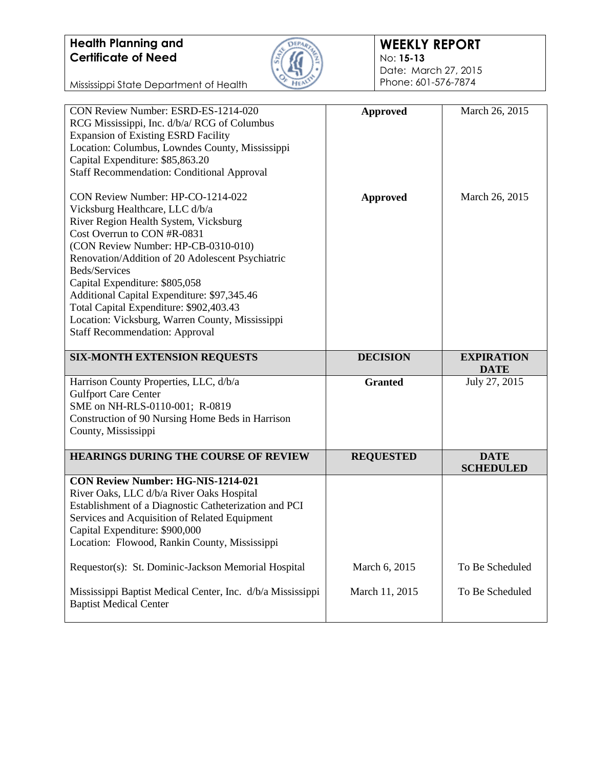

#### **WEEKLY REPORT** No: **15-13**

Date: March 27, 2015 Phone: 601-576-7874

| CON Review Number: ESRD-ES-1214-020<br>RCG Mississippi, Inc. d/b/a/ RCG of Columbus<br><b>Expansion of Existing ESRD Facility</b><br>Location: Columbus, Lowndes County, Mississippi<br>Capital Expenditure: \$85,863.20<br><b>Staff Recommendation: Conditional Approval</b>                                                                                                                                                                                                    | <b>Approved</b>  | March 26, 2015                   |
|----------------------------------------------------------------------------------------------------------------------------------------------------------------------------------------------------------------------------------------------------------------------------------------------------------------------------------------------------------------------------------------------------------------------------------------------------------------------------------|------------------|----------------------------------|
| CON Review Number: HP-CO-1214-022<br>Vicksburg Healthcare, LLC d/b/a<br>River Region Health System, Vicksburg<br>Cost Overrun to CON #R-0831<br>(CON Review Number: HP-CB-0310-010)<br>Renovation/Addition of 20 Adolescent Psychiatric<br>Beds/Services<br>Capital Expenditure: \$805,058<br>Additional Capital Expenditure: \$97,345.46<br>Total Capital Expenditure: \$902,403.43<br>Location: Vicksburg, Warren County, Mississippi<br><b>Staff Recommendation: Approval</b> | <b>Approved</b>  | March 26, 2015                   |
| <b>SIX-MONTH EXTENSION REQUESTS</b>                                                                                                                                                                                                                                                                                                                                                                                                                                              | <b>DECISION</b>  | <b>EXPIRATION</b><br><b>DATE</b> |
| Harrison County Properties, LLC, d/b/a<br><b>Gulfport Care Center</b><br>SME on NH-RLS-0110-001; R-0819<br>Construction of 90 Nursing Home Beds in Harrison<br>County, Mississippi                                                                                                                                                                                                                                                                                               | <b>Granted</b>   | July 27, 2015                    |
|                                                                                                                                                                                                                                                                                                                                                                                                                                                                                  |                  |                                  |
| <b>HEARINGS DURING THE COURSE OF REVIEW</b>                                                                                                                                                                                                                                                                                                                                                                                                                                      | <b>REQUESTED</b> | <b>DATE</b><br><b>SCHEDULED</b>  |
| <b>CON Review Number: HG-NIS-1214-021</b><br>River Oaks, LLC d/b/a River Oaks Hospital<br>Establishment of a Diagnostic Catheterization and PCI<br>Services and Acquisition of Related Equipment<br>Capital Expenditure: \$900,000<br>Location: Flowood, Rankin County, Mississippi                                                                                                                                                                                              |                  |                                  |
| Requestor(s): St. Dominic-Jackson Memorial Hospital                                                                                                                                                                                                                                                                                                                                                                                                                              | March 6, 2015    | To Be Scheduled                  |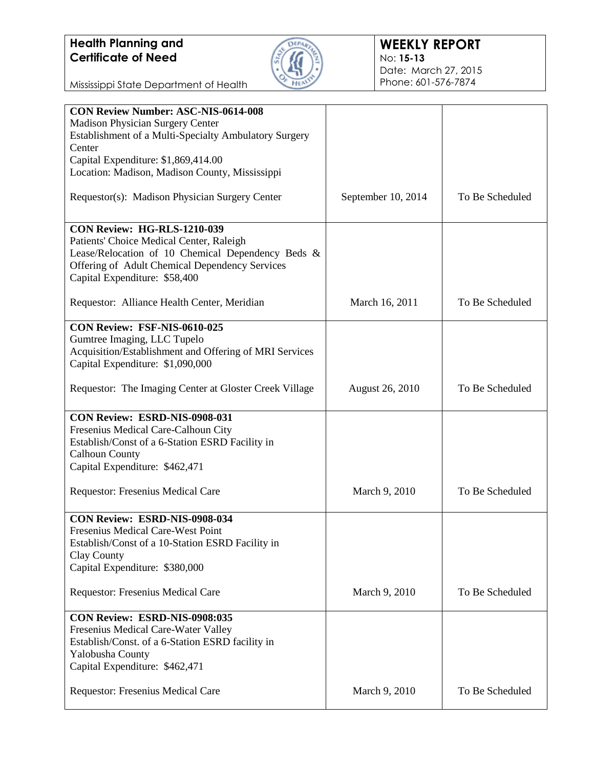

| <b>CON Review Number: ASC-NIS-0614-008</b>             |                        |                 |
|--------------------------------------------------------|------------------------|-----------------|
| <b>Madison Physician Surgery Center</b>                |                        |                 |
| Establishment of a Multi-Specialty Ambulatory Surgery  |                        |                 |
| Center                                                 |                        |                 |
|                                                        |                        |                 |
| Capital Expenditure: \$1,869,414.00                    |                        |                 |
| Location: Madison, Madison County, Mississippi         |                        |                 |
|                                                        |                        |                 |
| Requestor(s): Madison Physician Surgery Center         | September 10, 2014     | To Be Scheduled |
|                                                        |                        |                 |
|                                                        |                        |                 |
| <b>CON Review: HG-RLS-1210-039</b>                     |                        |                 |
| Patients' Choice Medical Center, Raleigh               |                        |                 |
| Lease/Relocation of 10 Chemical Dependency Beds &      |                        |                 |
|                                                        |                        |                 |
| Offering of Adult Chemical Dependency Services         |                        |                 |
| Capital Expenditure: \$58,400                          |                        |                 |
|                                                        |                        |                 |
| Requestor: Alliance Health Center, Meridian            | March 16, 2011         | To Be Scheduled |
|                                                        |                        |                 |
| CON Review: FSF-NIS-0610-025                           |                        |                 |
|                                                        |                        |                 |
| Gumtree Imaging, LLC Tupelo                            |                        |                 |
| Acquisition/Establishment and Offering of MRI Services |                        |                 |
| Capital Expenditure: \$1,090,000                       |                        |                 |
|                                                        |                        |                 |
| Requestor: The Imaging Center at Gloster Creek Village |                        | To Be Scheduled |
|                                                        | <b>August 26, 2010</b> |                 |
|                                                        |                        |                 |
| CON Review: ESRD-NIS-0908-031                          |                        |                 |
| Fresenius Medical Care-Calhoun City                    |                        |                 |
|                                                        |                        |                 |
| Establish/Const of a 6-Station ESRD Facility in        |                        |                 |
| <b>Calhoun County</b>                                  |                        |                 |
| Capital Expenditure: \$462,471                         |                        |                 |
|                                                        |                        |                 |
| Requestor: Fresenius Medical Care                      | March 9, 2010          | To Be Scheduled |
|                                                        |                        |                 |
|                                                        |                        |                 |
| CON Review: ESRD-NIS-0908-034                          |                        |                 |
| Fresenius Medical Care-West Point                      |                        |                 |
| Establish/Const of a 10-Station ESRD Facility in       |                        |                 |
| Clay County                                            |                        |                 |
|                                                        |                        |                 |
| Capital Expenditure: \$380,000                         |                        |                 |
|                                                        |                        |                 |
| Requestor: Fresenius Medical Care                      | March 9, 2010          | To Be Scheduled |
|                                                        |                        |                 |
| CON Review: ESRD-NIS-0908:035                          |                        |                 |
|                                                        |                        |                 |
| Fresenius Medical Care-Water Valley                    |                        |                 |
| Establish/Const. of a 6-Station ESRD facility in       |                        |                 |
| Yalobusha County                                       |                        |                 |
| Capital Expenditure: \$462,471                         |                        |                 |
|                                                        |                        |                 |
| Requestor: Fresenius Medical Care                      | March 9, 2010          | To Be Scheduled |
|                                                        |                        |                 |
|                                                        |                        |                 |